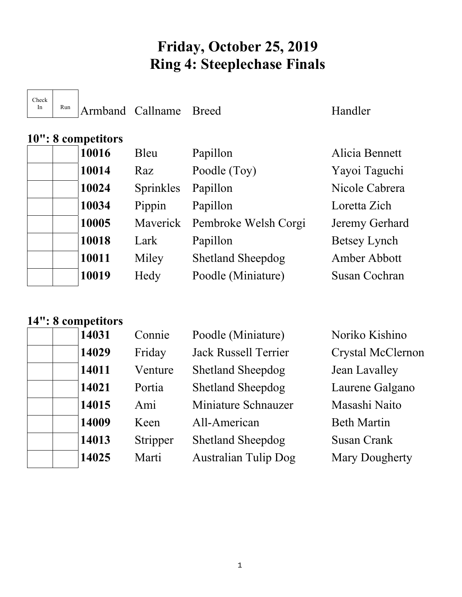# **Friday, October 25, 2019 Ring 4: Steeplechase Finals**

 $\top$ 

 $\sqrt{2}$ 

 $R_{un}$  Armband Callname Breed Handler

| 10": 8 competitors |  |       |  |  |
|--------------------|--|-------|--|--|
|                    |  | 10016 |  |  |
|                    |  | 10014 |  |  |
|                    |  | 10024 |  |  |
|                    |  | 10034 |  |  |
|                    |  | 10005 |  |  |
|                    |  | 10018 |  |  |
|                    |  | 10011 |  |  |
|                    |  | 10019 |  |  |
|                    |  |       |  |  |

| 10016 | Bleu      | Papillon                      | Alicia Bennett       |
|-------|-----------|-------------------------------|----------------------|
| 10014 | Raz       | Poodle (Toy)                  | Yayoi Taguchi        |
| 10024 | Sprinkles | Papillon                      | Nicole Cabrera       |
| 10034 | Pippin    | Papillon                      | Loretta Zich         |
| 10005 |           | Maverick Pembroke Welsh Corgi | Jeremy Gerhard       |
| 10018 | Lark      | Papillon                      | Betsey Lynch         |
| 10011 | Miley     | <b>Shetland Sheepdog</b>      | Amber Abbott         |
| 10019 | Hedy      | Poodle (Miniature)            | <b>Susan Cochran</b> |
|       |           |                               |                      |

### **14": 8 competitors**

| 14031 | Connie   | Poodle (Miniature)          | Noriko Kishino        |
|-------|----------|-----------------------------|-----------------------|
| 14029 | Friday   | <b>Jack Russell Terrier</b> | Crystal McClernon     |
| 14011 | Venture  | <b>Shetland Sheepdog</b>    | Jean Lavalley         |
| 14021 | Portia   | <b>Shetland Sheepdog</b>    | Laurene Galgano       |
| 14015 | Ami      | Miniature Schnauzer         | Masashi Naito         |
| 14009 | Keen     | All-American                | <b>Beth Martin</b>    |
| 14013 | Stripper | <b>Shetland Sheepdog</b>    | <b>Susan Crank</b>    |
| 14025 | Marti    | <b>Australian Tulip Dog</b> | <b>Mary Dougherty</b> |
|       |          |                             |                       |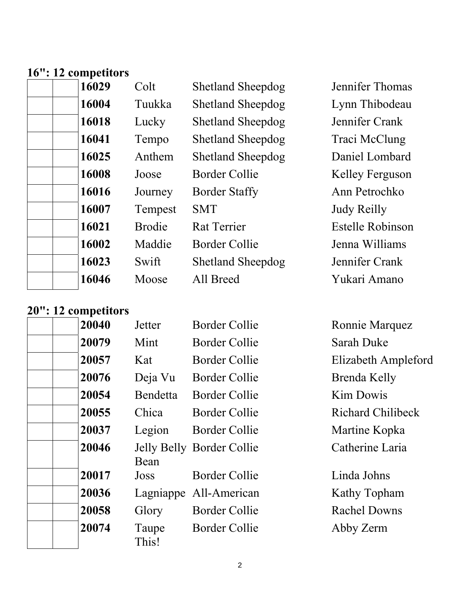#### **16": 12 competitors**

| 16029 | Colt          | <b>Shetland Sheepdog</b> | Jennifer Thomas         |
|-------|---------------|--------------------------|-------------------------|
| 16004 | Tuukka        | <b>Shetland Sheepdog</b> | Lynn Thibodeau          |
| 16018 | Lucky         | <b>Shetland Sheepdog</b> | Jennifer Crank          |
| 16041 | Tempo         | <b>Shetland Sheepdog</b> | Traci McClung           |
| 16025 | Anthem        | <b>Shetland Sheepdog</b> | Daniel Lombard          |
| 16008 | Joose         | Border Collie            | Kelley Ferguson         |
| 16016 | Journey       | <b>Border Staffy</b>     | Ann Petrochko           |
| 16007 | Tempest       | <b>SMT</b>               | <b>Judy Reilly</b>      |
| 16021 | <b>Brodie</b> | <b>Rat Terrier</b>       | <b>Estelle Robinson</b> |
| 16002 | Maddie        | Border Collie            | Jenna Williams          |
| 16023 | Swift         | <b>Shetland Sheepdog</b> | Jennifer Crank          |
| 16046 | Moose         | All Breed                | Yukari Amano            |

## **20": 12 competitors**

| <b>THE COMPLITED</b> |                |                           |
|----------------------|----------------|---------------------------|
| 20040                | Jetter         | Border Collie             |
| 20079                | Mint           | <b>Border Collie</b>      |
| 20057                | Kat            | Border Collie             |
| 20076                | Deja Vu        | Border Collie             |
| 20054                | Bendetta       | Border Collie             |
| 20055                | Chica          | Border Collie             |
| 20037                | Legion         | <b>Border Collie</b>      |
| 20046                | Bean           | Jelly Belly Border Collie |
| 20017                | Joss           | Border Collie             |
| 20036                |                | Lagniappe All-American    |
| 20058                | Glory          | <b>Border Collie</b>      |
| 20074                | Taupe<br>This! | Border Collie             |

**Ronnie Marquez Sarah Duke Elizabeth Ampleford Brenda Kelly Kim Dowis Richard Chilibeck Martine Kopka** Catherine Laria

Linda Johns **Kathy Topham Rachel Downs** Abby Zerm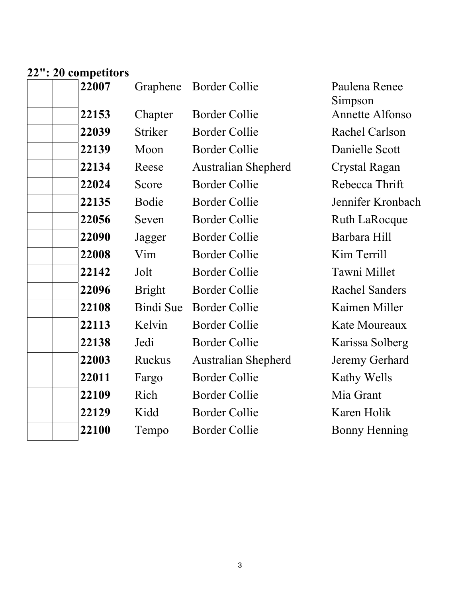#### **22": 20 competitors**

| 22007 | Graphene       | <b>Border Collie</b>       | Paulena Renee<br>Simpson |
|-------|----------------|----------------------------|--------------------------|
| 22153 | Chapter        | <b>Border Collie</b>       | Annette Alfonso          |
| 22039 | <b>Striker</b> | <b>Border Collie</b>       | Rachel Carlson           |
| 22139 | Moon           | <b>Border Collie</b>       | Danielle Scott           |
| 22134 | Reese          | <b>Australian Shepherd</b> | <b>Crystal Ragan</b>     |
| 22024 | Score          | <b>Border Collie</b>       | Rebecca Thrift           |
| 22135 | Bodie          | <b>Border Collie</b>       | Jennifer Kronbach        |
| 22056 | Seven          | <b>Border Collie</b>       | <b>Ruth LaRocque</b>     |
| 22090 | Jagger         | <b>Border Collie</b>       | Barbara Hill             |
| 22008 | Vim            | <b>Border Collie</b>       | Kim Terrill              |
| 22142 | Jolt           | <b>Border Collie</b>       | Tawni Millet             |
| 22096 | <b>Bright</b>  | <b>Border Collie</b>       | <b>Rachel Sanders</b>    |
| 22108 | Bindi Sue      | <b>Border Collie</b>       | Kaimen Miller            |
| 22113 | Kelvin         | <b>Border Collie</b>       | Kate Moureaux            |
| 22138 | Jedi           | <b>Border Collie</b>       | Karissa Solberg          |
| 22003 | Ruckus         | <b>Australian Shepherd</b> | Jeremy Gerhard           |
| 22011 | Fargo          | <b>Border Collie</b>       | Kathy Wells              |
| 22109 | Rich           | <b>Border Collie</b>       | Mia Grant                |
| 22129 | Kidd           | <b>Border Collie</b>       | Karen Holik              |
| 22100 | Tempo          | <b>Border Collie</b>       | <b>Bonny Henning</b>     |
|       |                |                            |                          |